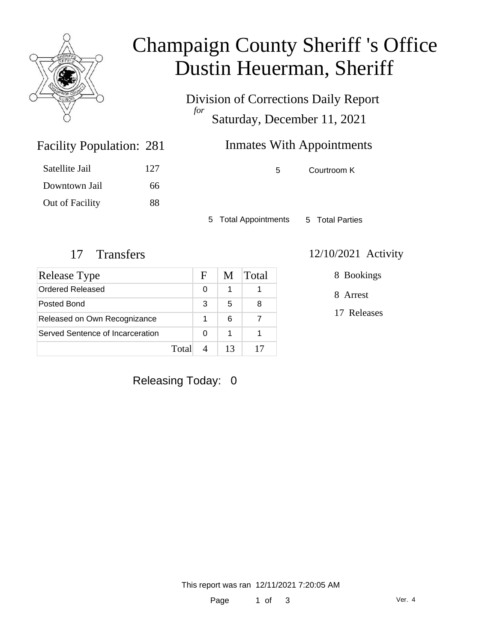

## Champaign County Sheriff 's Office Dustin Heuerman, Sheriff

Division of Corrections Daily Report *for* Saturday, December 11, 2021

## Inmates With Appointments

Facility Population: 281

| Satellite Jail  | 127 |
|-----------------|-----|
| Downtown Jail   | 66  |
| Out of Facility | 88  |

5 Courtroom K

5 Total Appointments 5 Total Parties

| Release Type                     |       | F | M  | Total |
|----------------------------------|-------|---|----|-------|
| Ordered Released                 |       | 0 |    |       |
| Posted Bond                      |       | 3 | 5  |       |
| Released on Own Recognizance     |       |   | 6  |       |
| Served Sentence of Incarceration |       | O |    |       |
|                                  | Total |   | 13 |       |

#### 17 Transfers 12/10/2021 Activity

8 Bookings

8 Arrest

17 Releases

Releasing Today: 0

This report was ran 12/11/2021 7:20:05 AM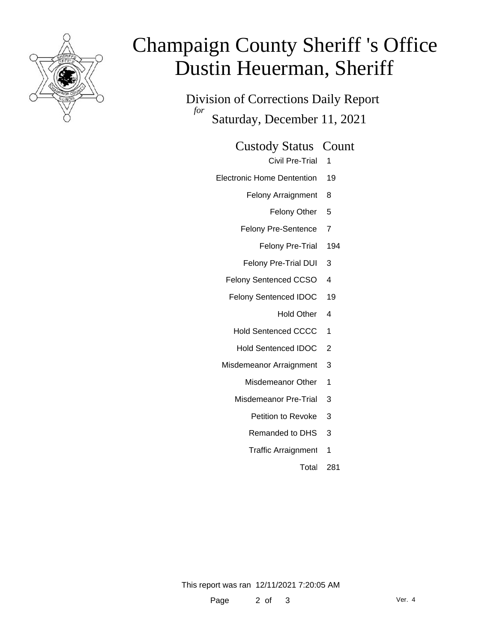

# Champaign County Sheriff 's Office Dustin Heuerman, Sheriff

Division of Corrections Daily Report *for* Saturday, December 11, 2021

Custody Status Count

Civil Pre-Trial 1

Electronic Home Dentention 19

Felony Arraignment 8

Felony Other 5

Felony Pre-Sentence 7

Felony Pre-Trial 194

Felony Pre-Trial DUI 3

Felony Sentenced CCSO 4

Felony Sentenced IDOC 19

Hold Other 4

Hold Sentenced CCCC 1

- Hold Sentenced IDOC 2
- Misdemeanor Arraignment 3
	- Misdemeanor Other 1
	- Misdemeanor Pre-Trial 3
		- Petition to Revoke 3
		- Remanded to DHS 3
		- Traffic Arraignment 1

Total 281

This report was ran 12/11/2021 7:20:05 AM